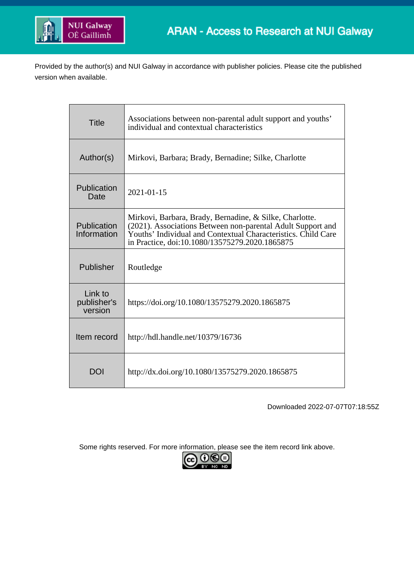

Provided by the author(s) and NUI Galway in accordance with publisher policies. Please cite the published version when available.

| <b>Title</b>                      | Associations between non-parental adult support and youths'<br>individual and contextual characteristics                                                                                                                                  |  |  |  |
|-----------------------------------|-------------------------------------------------------------------------------------------------------------------------------------------------------------------------------------------------------------------------------------------|--|--|--|
| Author(s)                         | Mirkovi, Barbara; Brady, Bernadine; Silke, Charlotte                                                                                                                                                                                      |  |  |  |
| Publication<br>Date               | 2021-01-15                                                                                                                                                                                                                                |  |  |  |
| Publication<br>Information        | Mirkovi, Barbara, Brady, Bernadine, & Silke, Charlotte.<br>(2021). Associations Between non-parental Adult Support and<br>Youths' Individual and Contextual Characteristics. Child Care<br>in Practice, doi:10.1080/13575279.2020.1865875 |  |  |  |
| Publisher                         | Routledge                                                                                                                                                                                                                                 |  |  |  |
| Link to<br>publisher's<br>version | https://doi.org/10.1080/13575279.2020.1865875                                                                                                                                                                                             |  |  |  |
| Item record                       | http://hdl.handle.net/10379/16736                                                                                                                                                                                                         |  |  |  |
| DOI                               | http://dx.doi.org/10.1080/13575279.2020.1865875                                                                                                                                                                                           |  |  |  |

Downloaded 2022-07-07T07:18:55Z

Some rights reserved. For more information, please see the item record link above.

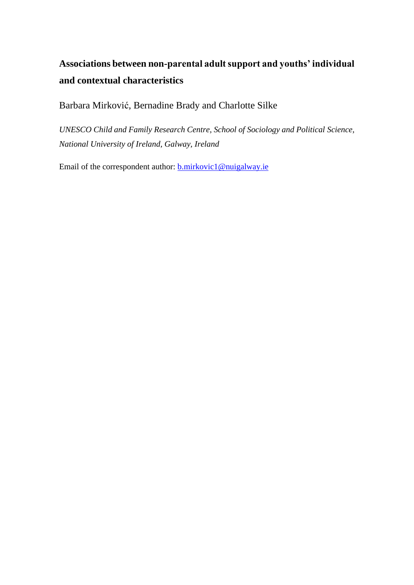# **Associations between non-parental adult support and youths' individual and contextual characteristics**

Barbara Mirković, Bernadine Brady and Charlotte Silke

*UNESCO Child and Family Research Centre, School of Sociology and Political Science, National University of Ireland, Galway, Ireland*

Email of the correspondent author: **b.mirkovic1@nuigalway.ie**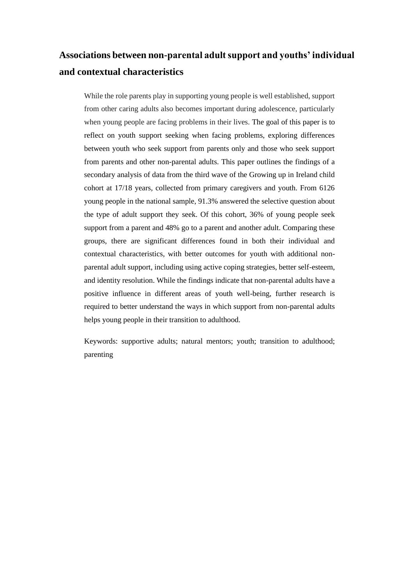# **Associations between non-parental adult support and youths' individual and contextual characteristics**

While the role parents play in supporting young people is well established, support from other caring adults also becomes important during adolescence, particularly when young people are facing problems in their lives. The goal of this paper is to reflect on youth support seeking when facing problems, exploring differences between youth who seek support from parents only and those who seek support from parents and other non-parental adults. This paper outlines the findings of a secondary analysis of data from the third wave of the Growing up in Ireland child cohort at 17/18 years, collected from primary caregivers and youth. From 6126 young people in the national sample, 91.3% answered the selective question about the type of adult support they seek. Of this cohort, 36% of young people seek support from a parent and 48% go to a parent and another adult. Comparing these groups, there are significant differences found in both their individual and contextual characteristics, with better outcomes for youth with additional nonparental adult support, including using active coping strategies, better self-esteem, and identity resolution. While the findings indicate that non-parental adults have a positive influence in different areas of youth well-being, further research is required to better understand the ways in which support from non-parental adults helps young people in their transition to adulthood.

Keywords: supportive adults; natural mentors; youth; transition to adulthood; parenting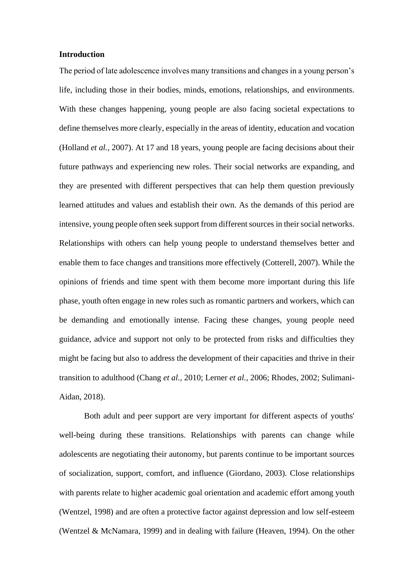# **Introduction**

The period of late adolescence involves many transitions and changes in a young person's life, including those in their bodies, minds, emotions, relationships, and environments. With these changes happening, young people are also facing societal expectations to define themselves more clearly, especially in the areas of identity, education and vocation (Holland *et al.,* 2007). At 17 and 18 years, young people are facing decisions about their future pathways and experiencing new roles. Their social networks are expanding, and they are presented with different perspectives that can help them question previously learned attitudes and values and establish their own. As the demands of this period are intensive, young people often seek support from different sources in their social networks. Relationships with others can help young people to understand themselves better and enable them to face changes and transitions more effectively (Cotterell, 2007). While the opinions of friends and time spent with them become more important during this life phase, youth often engage in new roles such as romantic partners and workers, which can be demanding and emotionally intense. Facing these changes, young people need guidance, advice and support not only to be protected from risks and difficulties they might be facing but also to address the development of their capacities and thrive in their transition to adulthood (Chang *et al.,* 2010; Lerner *et al.,* 2006; Rhodes, 2002; Sulimani-Aidan, 2018).

Both adult and peer support are very important for different aspects of youths' well-being during these transitions. Relationships with parents can change while adolescents are negotiating their autonomy, but parents continue to be important sources of socialization, support, comfort, and influence (Giordano, 2003). Close relationships with parents relate to higher academic goal orientation and academic effort among youth (Wentzel, 1998) and are often a protective factor against depression and low self-esteem (Wentzel & McNamara, 1999) and in dealing with failure (Heaven, 1994). On the other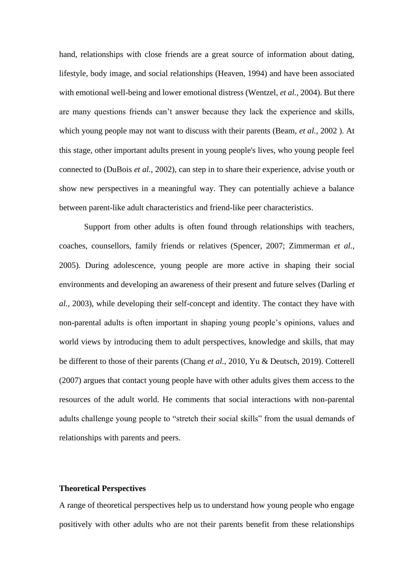hand, relationships with close friends are a great source of information about dating, lifestyle, body image, and social relationships (Heaven, 1994) and have been associated with emotional well-being and lower emotional distress (Wentzel, *et al.,* 2004). But there are many questions friends can't answer because they lack the experience and skills, which young people may not want to discuss with their parents (Beam, *et al.,* 2002 ). At this stage, other important adults present in young people's lives, who young people feel connected to (DuBois *et al.,* 2002), can step in to share their experience, advise youth or show new perspectives in a meaningful way. They can potentially achieve a balance between parent-like adult characteristics and friend-like peer characteristics.

Support from other adults is often found through relationships with teachers, coaches, counsellors, family friends or relatives (Spencer, 2007; Zimmerman *et al.,* 2005). During adolescence, young people are more active in shaping their social environments and developing an awareness of their present and future selves (Darling *et al.,* 2003), while developing their self-concept and identity. The contact they have with non-parental adults is often important in shaping young people's opinions, values and world views by introducing them to adult perspectives, knowledge and skills, that may be different to those of their parents (Chang *et al.,* 2010, Yu & Deutsch, 2019). Cotterell (2007) argues that contact young people have with other adults gives them access to the resources of the adult world. He comments that social interactions with non-parental adults challenge young people to "stretch their social skills" from the usual demands of relationships with parents and peers.

## **Theoretical Perspectives**

A range of theoretical perspectives help us to understand how young people who engage positively with other adults who are not their parents benefit from these relationships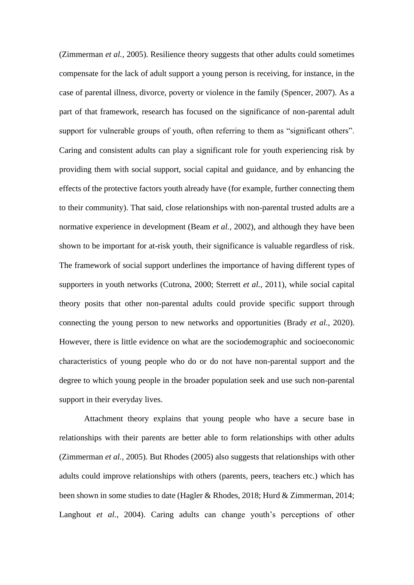(Zimmerman *et al.,* 2005). Resilience theory suggests that other adults could sometimes compensate for the lack of adult support a young person is receiving, for instance, in the case of parental illness, divorce, poverty or violence in the family (Spencer, 2007). As a part of that framework, research has focused on the significance of non-parental adult support for vulnerable groups of youth, often referring to them as "significant others". Caring and consistent adults can play a significant role for youth experiencing risk by providing them with social support, social capital and guidance, and by enhancing the effects of the protective factors youth already have (for example, further connecting them to their community). That said, close relationships with non-parental trusted adults are a normative experience in development (Beam *et al.,* 2002), and although they have been shown to be important for at-risk youth, their significance is valuable regardless of risk. The framework of social support underlines the importance of having different types of supporters in youth networks (Cutrona, 2000; Sterrett *et al.,* 2011), while social capital theory posits that other non-parental adults could provide specific support through connecting the young person to new networks and opportunities (Brady *et al.,* 2020). However, there is little evidence on what are the sociodemographic and socioeconomic characteristics of young people who do or do not have non-parental support and the degree to which young people in the broader population seek and use such non-parental support in their everyday lives.

Attachment theory explains that young people who have a secure base in relationships with their parents are better able to form relationships with other adults (Zimmerman *et al.,* 2005). But Rhodes (2005) also suggests that relationships with other adults could improve relationships with others (parents, peers, teachers etc.) which has been shown in some studies to date (Hagler & Rhodes, 2018; Hurd & Zimmerman, 2014; Langhout *et al.*, 2004). Caring adults can change youth's perceptions of other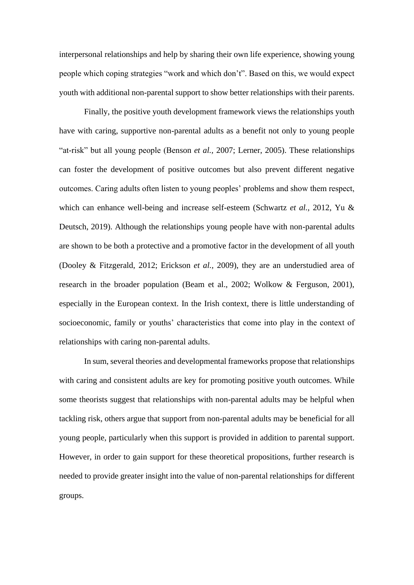interpersonal relationships and help by sharing their own life experience, showing young people which coping strategies "work and which don't". Based on this, we would expect youth with additional non-parental support to show better relationships with their parents.

Finally, the positive youth development framework views the relationships youth have with caring, supportive non-parental adults as a benefit not only to young people "at-risk" but all young people (Benson *et al.,* 2007; Lerner, 2005). These relationships can foster the development of positive outcomes but also prevent different negative outcomes. Caring adults often listen to young peoples' problems and show them respect, which can enhance well-being and increase self-esteem (Schwartz *et al.,* 2012, Yu & Deutsch, 2019). Although the relationships young people have with non-parental adults are shown to be both a protective and a promotive factor in the development of all youth (Dooley & Fitzgerald, 2012; Erickson *et al.,* 2009), they are an understudied area of research in the broader population (Beam et al., 2002; Wolkow & Ferguson, 2001), especially in the European context. In the Irish context, there is little understanding of socioeconomic, family or youths' characteristics that come into play in the context of relationships with caring non-parental adults.

In sum, several theories and developmental frameworks propose that relationships with caring and consistent adults are key for promoting positive youth outcomes. While some theorists suggest that relationships with non-parental adults may be helpful when tackling risk, others argue that support from non-parental adults may be beneficial for all young people, particularly when this support is provided in addition to parental support. However, in order to gain support for these theoretical propositions, further research is needed to provide greater insight into the value of non-parental relationships for different groups.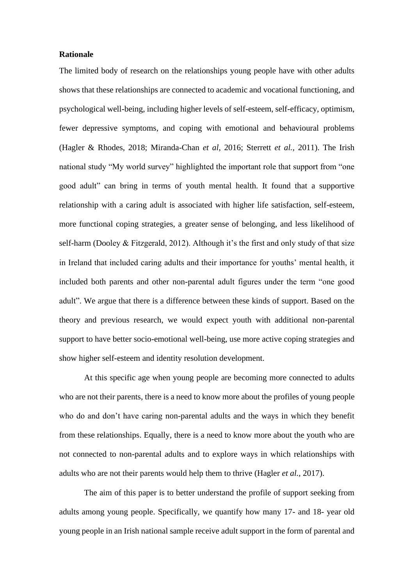# **Rationale**

The limited body of research on the relationships young people have with other adults shows that these relationships are connected to academic and vocational functioning, and psychological well-being, including higher levels of self-esteem, self-efficacy, optimism, fewer depressive symptoms, and coping with emotional and behavioural problems (Hagler & Rhodes, 2018; Miranda-Chan *et al,* 2016; Sterrett *et al.,* 2011). The Irish national study "My world survey" highlighted the important role that support from "one good adult" can bring in terms of youth mental health. It found that a supportive relationship with a caring adult is associated with higher life satisfaction, self-esteem, more functional coping strategies, a greater sense of belonging, and less likelihood of self-harm (Dooley & Fitzgerald, 2012). Although it's the first and only study of that size in Ireland that included caring adults and their importance for youths' mental health, it included both parents and other non-parental adult figures under the term "one good adult". We argue that there is a difference between these kinds of support. Based on the theory and previous research, we would expect youth with additional non-parental support to have better socio-emotional well-being, use more active coping strategies and show higher self-esteem and identity resolution development.

At this specific age when young people are becoming more connected to adults who are not their parents, there is a need to know more about the profiles of young people who do and don't have caring non-parental adults and the ways in which they benefit from these relationships. Equally, there is a need to know more about the youth who are not connected to non-parental adults and to explore ways in which relationships with adults who are not their parents would help them to thrive (Hagler *et al.,* 2017).

The aim of this paper is to better understand the profile of support seeking from adults among young people. Specifically, we quantify how many 17- and 18- year old young people in an Irish national sample receive adult support in the form of parental and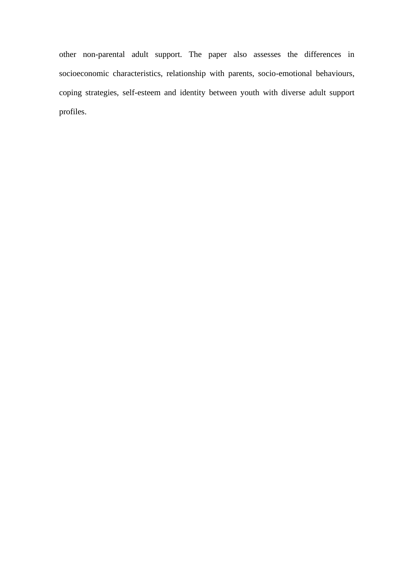other non-parental adult support. The paper also assesses the differences in socioeconomic characteristics, relationship with parents, socio-emotional behaviours, coping strategies, self-esteem and identity between youth with diverse adult support profiles.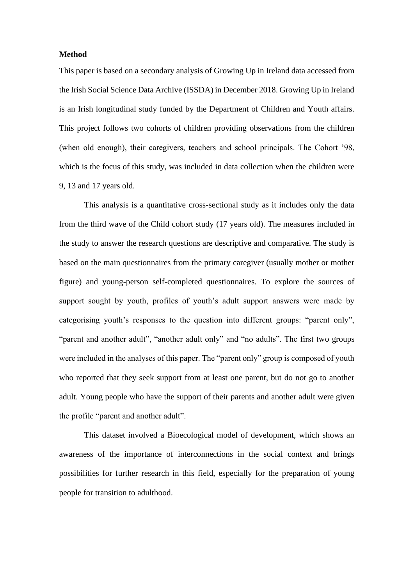# **Method**

This paper is based on a secondary analysis of Growing Up in Ireland data accessed from the Irish Social Science Data Archive (ISSDA) in December 2018. Growing Up in Ireland is an Irish longitudinal study funded by the Department of Children and Youth affairs. This project follows two cohorts of children providing observations from the children (when old enough), their caregivers, teachers and school principals. The Cohort '98, which is the focus of this study, was included in data collection when the children were 9, 13 and 17 years old.

This analysis is a quantitative cross-sectional study as it includes only the data from the third wave of the Child cohort study (17 years old). The measures included in the study to answer the research questions are descriptive and comparative. The study is based on the main questionnaires from the primary caregiver (usually mother or mother figure) and young-person self-completed questionnaires. To explore the sources of support sought by youth, profiles of youth's adult support answers were made by categorising youth's responses to the question into different groups: "parent only", "parent and another adult", "another adult only" and "no adults". The first two groups were included in the analyses of this paper. The "parent only" group is composed of youth who reported that they seek support from at least one parent, but do not go to another adult. Young people who have the support of their parents and another adult were given the profile "parent and another adult".

This dataset involved a Bioecological model of development, which shows an awareness of the importance of interconnections in the social context and brings possibilities for further research in this field, especially for the preparation of young people for transition to adulthood.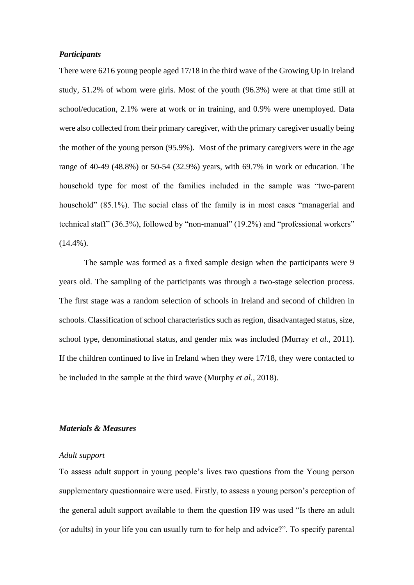## *Participants*

There were 6216 young people aged 17/18 in the third wave of the Growing Up in Ireland study, 51.2% of whom were girls. Most of the youth (96.3%) were at that time still at school/education, 2.1% were at work or in training, and 0.9% were unemployed. Data were also collected from their primary caregiver, with the primary caregiver usually being the mother of the young person (95.9%). Most of the primary caregivers were in the age range of 40-49 (48.8%) or 50-54 (32.9%) years, with 69.7% in work or education. The household type for most of the families included in the sample was "two-parent household" (85.1%). The social class of the family is in most cases "managerial and technical staff" (36.3%), followed by "non-manual" (19.2%) and "professional workers"  $(14.4\%)$ .

The sample was formed as a fixed sample design when the participants were 9 years old. The sampling of the participants was through a two-stage selection process. The first stage was a random selection of schools in Ireland and second of children in schools. Classification of school characteristics such as region, disadvantaged status, size, school type, denominational status, and gender mix was included (Murray *et al.,* 2011). If the children continued to live in Ireland when they were 17/18, they were contacted to be included in the sample at the third wave (Murphy *et al.,* 2018).

#### *Materials & Measures*

#### *Adult support*

To assess adult support in young people's lives two questions from the Young person supplementary questionnaire were used. Firstly, to assess a young person's perception of the general adult support available to them the question H9 was used "Is there an adult (or adults) in your life you can usually turn to for help and advice?". To specify parental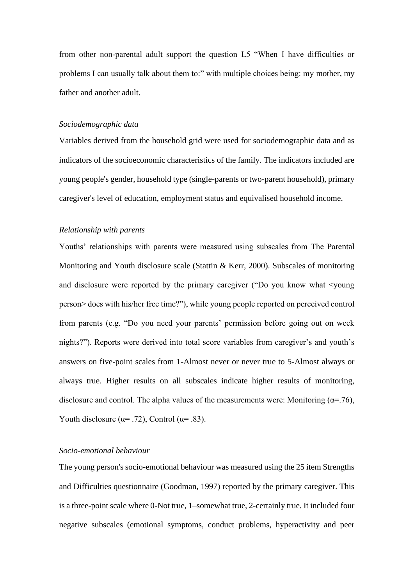from other non-parental adult support the question L5 "When I have difficulties or problems I can usually talk about them to:" with multiple choices being: my mother, my father and another adult.

#### *Sociodemographic data*

Variables derived from the household grid were used for sociodemographic data and as indicators of the socioeconomic characteristics of the family. The indicators included are young people's gender, household type (single-parents or two-parent household), primary caregiver's level of education, employment status and equivalised household income.

## *Relationship with parents*

Youths' relationships with parents were measured using subscales from The Parental Monitoring and Youth disclosure scale (Stattin & Kerr, 2000). Subscales of monitoring and disclosure were reported by the primary caregiver ("Do you know what <young person> does with his/her free time?"), while young people reported on perceived control from parents (e.g. "Do you need your parents' permission before going out on week nights?"). Reports were derived into total score variables from caregiver's and youth's answers on five-point scales from 1-Almost never or never true to 5-Almost always or always true. Higher results on all subscales indicate higher results of monitoring, disclosure and control. The alpha values of the measurements were: Monitoring ( $\alpha$ =.76), Youth disclosure ( $\alpha$ = .72), Control ( $\alpha$ = .83).

#### *Socio-emotional behaviour*

The young person's socio-emotional behaviour was measured using the 25 item Strengths and Difficulties questionnaire (Goodman, 1997) reported by the primary caregiver. This is a three-point scale where 0-Not true, 1–somewhat true, 2-certainly true. It included four negative subscales (emotional symptoms, conduct problems, hyperactivity and peer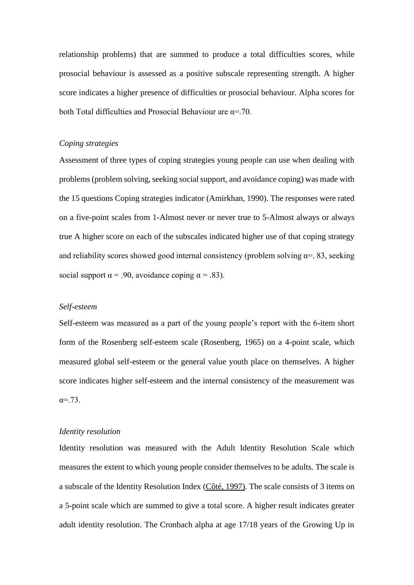relationship problems) that are summed to produce a total difficulties scores, while prosocial behaviour is assessed as a positive subscale representing strength. A higher score indicates a higher presence of difficulties or prosocial behaviour. Alpha scores for both Total difficulties and Prosocial Behaviour are  $\alpha = 70$ .

## *Coping strategies*

Assessment of three types of coping strategies young people can use when dealing with problems (problem solving, seeking social support, and avoidance coping) was made with the 15 questions Coping strategies indicator (Amirkhan, 1990). The responses were rated on a five-point scales from 1-Almost never or never true to 5-Almost always or always true A higher score on each of the subscales indicated higher use of that coping strategy and reliability scores showed good internal consistency (problem solving  $\alpha = 83$ , seeking social support  $\alpha = .90$ , avoidance coping  $\alpha = .83$ ).

## *Self-esteem*

Self-esteem was measured as a part of the young people's report with the 6-item short form of the Rosenberg self-esteem scale (Rosenberg, 1965) on a 4-point scale, which measured global self-esteem or the general value youth place on themselves. A higher score indicates higher self-esteem and the internal consistency of the measurement was  $\alpha = .73$ .

### *Identity resolution*

Identity resolution was measured with the Adult Identity Resolution Scale which measures the extent to which young people consider themselves to be adults. The scale is a subscale of the Identity Resolution Index [\(Côté, 1997\).](https://www.tandfonline.com/doi/full/10.1080/00224540903366784?scroll=top&needAccess=true) The scale consists of 3 items on a 5-point scale which are summed to give a total score. A higher result indicates greater adult identity resolution. The Cronbach alpha at age 17/18 years of the Growing Up in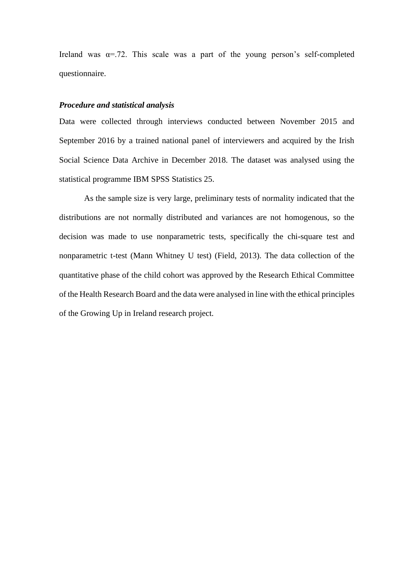Ireland was  $\alpha = 72$ . This scale was a part of the young person's self-completed questionnaire.

# *Procedure and statistical analysis*

Data were collected through interviews conducted between November 2015 and September 2016 by a trained national panel of interviewers and acquired by the Irish Social Science Data Archive in December 2018. The dataset was analysed using the statistical programme IBM SPSS Statistics 25.

As the sample size is very large, preliminary tests of normality indicated that the distributions are not normally distributed and variances are not homogenous, so the decision was made to use nonparametric tests, specifically the chi-square test and nonparametric t-test (Mann Whitney U test) (Field, 2013). The data collection of the quantitative phase of the child cohort was approved by the Research Ethical Committee of the Health Research Board and the data were analysed in line with the ethical principles of the Growing Up in Ireland research project.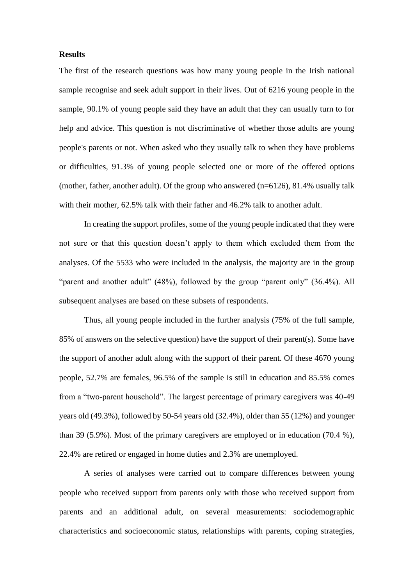## **Results**

The first of the research questions was how many young people in the Irish national sample recognise and seek adult support in their lives. Out of 6216 young people in the sample, 90.1% of young people said they have an adult that they can usually turn to for help and advice. This question is not discriminative of whether those adults are young people's parents or not. When asked who they usually talk to when they have problems or difficulties, 91.3% of young people selected one or more of the offered options (mother, father, another adult). Of the group who answered (n=6126), 81.4% usually talk with their mother, 62.5% talk with their father and 46.2% talk to another adult.

In creating the support profiles, some of the young people indicated that they were not sure or that this question doesn't apply to them which excluded them from the analyses. Of the 5533 who were included in the analysis, the majority are in the group "parent and another adult" (48%), followed by the group "parent only" (36.4%). All subsequent analyses are based on these subsets of respondents.

Thus, all young people included in the further analysis (75% of the full sample, 85% of answers on the selective question) have the support of their parent(s). Some have the support of another adult along with the support of their parent. Of these 4670 young people, 52.7% are females, 96.5% of the sample is still in education and 85.5% comes from a "two-parent household". The largest percentage of primary caregivers was 40-49 years old (49.3%), followed by 50-54 years old (32.4%), older than 55 (12%) and younger than 39 (5.9%). Most of the primary caregivers are employed or in education (70.4 %), 22.4% are retired or engaged in home duties and 2.3% are unemployed.

A series of analyses were carried out to compare differences between young people who received support from parents only with those who received support from parents and an additional adult, on several measurements: sociodemographic characteristics and socioeconomic status, relationships with parents, coping strategies,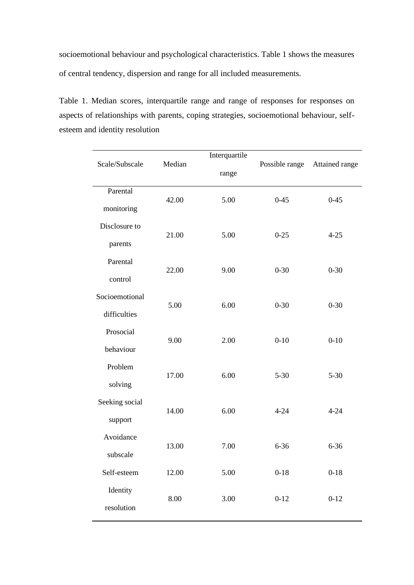socioemotional behaviour and psychological characteristics. Table 1 shows the measures of central tendency, dispersion and range for all included measurements.

Table 1. Median scores, interquartile range and range of responses for responses on aspects of relationships with parents, coping strategies, socioemotional behaviour, selfesteem and identity resolution

| Scale/Subscale | Median | Interquartile | Possible range | Attained range |
|----------------|--------|---------------|----------------|----------------|
|                |        | range         |                |                |
| Parental       | 42.00  | 5.00          | $0 - 45$       | $0 - 45$       |
| monitoring     |        |               |                |                |
| Disclosure to  |        |               |                |                |
| parents        | 21.00  | 5.00          | $0 - 25$       | $4 - 25$       |
| Parental       |        |               |                |                |
| control        | 22.00  | 9.00          | $0 - 30$       | $0 - 30$       |
| Socioemotional | 5.00   | 6.00          | $0 - 30$       | $0 - 30$       |
| difficulties   |        |               |                |                |
| Prosocial      | 9.00   | 2.00          | $0 - 10$       | $0 - 10$       |
| behaviour      |        |               |                |                |
| Problem        | 17.00  | 6.00          | $5 - 30$       | $5 - 30$       |
| solving        |        |               |                |                |
| Seeking social | 14.00  | 6.00          | $4 - 24$       | $4 - 24$       |
| support        |        |               |                |                |
| Avoidance      | 13.00  | 7.00          | $6 - 36$       | $6 - 36$       |
| subscale       |        |               |                |                |
| Self-esteem    | 12.00  | 5.00          | $0 - 18$       | $0 - 18$       |
| Identity       | 8.00   | 3.00          | $0 - 12$       | $0 - 12$       |
| resolution     |        |               |                |                |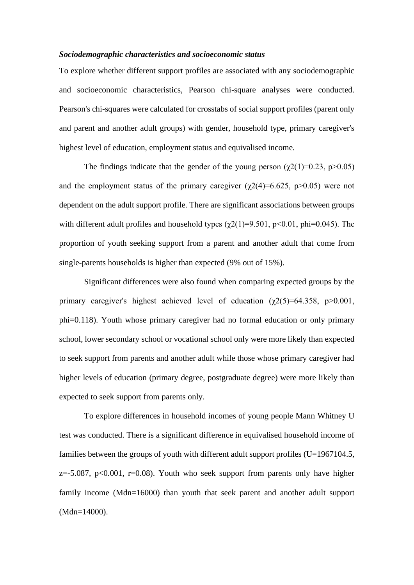## *Sociodemographic characteristics and socioeconomic status*

To explore whether different support profiles are associated with any sociodemographic and socioeconomic characteristics, Pearson chi-square analyses were conducted. Pearson's chi-squares were calculated for crosstabs of social support profiles (parent only and parent and another adult groups) with gender, household type, primary caregiver's highest level of education, employment status and equivalised income.

The findings indicate that the gender of the young person  $(\chi^2(1)=0.23, \text{p}>0.05)$ and the employment status of the primary caregiver  $(\chi^2)(4)=6.625$ , p $>0.05$ ) were not dependent on the adult support profile. There are significant associations between groups with different adult profiles and household types  $(\chi^2(1)=9.501, p<0.01, phi=0.045)$ . The proportion of youth seeking support from a parent and another adult that come from single-parents households is higher than expected (9% out of 15%).

Significant differences were also found when comparing expected groups by the primary caregiver's highest achieved level of education  $(\gamma 2(5)=64.358, p>0.001,$ phi=0.118). Youth whose primary caregiver had no formal education or only primary school, lower secondary school or vocational school only were more likely than expected to seek support from parents and another adult while those whose primary caregiver had higher levels of education (primary degree, postgraduate degree) were more likely than expected to seek support from parents only.

To explore differences in household incomes of young people Mann Whitney U test was conducted. There is a significant difference in equivalised household income of families between the groups of youth with different adult support profiles (U=1967104.5,  $z = -5.087$ ,  $p < 0.001$ ,  $r = 0.08$ ). Youth who seek support from parents only have higher family income (Mdn=16000) than youth that seek parent and another adult support (Mdn=14000).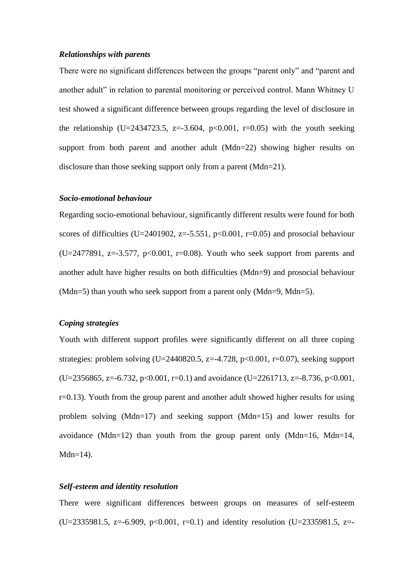# *Relationships with parents*

There were no significant differences between the groups "parent only" and "parent and another adult" in relation to parental monitoring or perceived control. Mann Whitney U test showed a significant difference between groups regarding the level of disclosure in the relationship (U=2434723.5, z=-3.604, p<0.001, r=0.05) with the youth seeking support from both parent and another adult (Mdn=22) showing higher results on disclosure than those seeking support only from a parent (Mdn=21).

# *Socio-emotional behaviour*

Regarding socio-emotional behaviour, significantly different results were found for both scores of difficulties (U=2401902,  $z=-5.551$ ,  $p<0.001$ ,  $r=0.05$ ) and prosocial behaviour  $(U=2477891, z=-3.577, p<0.001, r=0.08)$ . Youth who seek support from parents and another adult have higher results on both difficulties (Mdn=9) and prosocial behaviour (Mdn=5) than youth who seek support from a parent only (Mdn=9, Mdn=5).

# *Coping strategies*

Youth with different support profiles were significantly different on all three coping strategies: problem solving (U=2440820.5, z=-4.728, p<0.001, r=0.07), seeking support  $(U=2356865, z=-6.732, p<0.001, r=0.1)$  and avoidance  $(U=2261713, z=-8.736, p<0.001,$  $r=0.13$ ). Youth from the group parent and another adult showed higher results for using problem solving (Mdn=17) and seeking support (Mdn=15) and lower results for avoidance (Mdn=12) than youth from the group parent only (Mdn=16, Mdn=14,  $Mdn=14$ ).

## *Self-esteem and identity resolution*

There were significant differences between groups on measures of self-esteem  $(U=2335981.5, z=-6.909, p<0.001, r=0.1)$  and identity resolution  $(U=2335981.5, z=$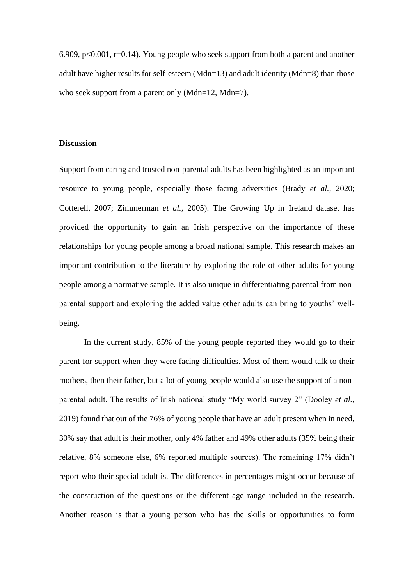6.909,  $p<0.001$ ,  $r=0.14$ ). Young people who seek support from both a parent and another adult have higher results for self-esteem (Mdn=13) and adult identity (Mdn=8) than those who seek support from a parent only (Mdn=12, Mdn=7).

## **Discussion**

Support from caring and trusted non-parental adults has been highlighted as an important resource to young people, especially those facing adversities (Brady *et al.,* 2020; Cotterell, 2007; Zimmerman *et al.,* 2005). The Growing Up in Ireland dataset has provided the opportunity to gain an Irish perspective on the importance of these relationships for young people among a broad national sample. This research makes an important contribution to the literature by exploring the role of other adults for young people among a normative sample. It is also unique in differentiating parental from nonparental support and exploring the added value other adults can bring to youths' wellbeing.

In the current study, 85% of the young people reported they would go to their parent for support when they were facing difficulties. Most of them would talk to their mothers, then their father, but a lot of young people would also use the support of a nonparental adult. The results of Irish national study "My world survey 2" (Dooley *et al.*, 2019) found that out of the 76% of young people that have an adult present when in need, 30% say that adult is their mother, only 4% father and 49% other adults (35% being their relative, 8% someone else, 6% reported multiple sources). The remaining 17% didn't report who their special adult is. The differences in percentages might occur because of the construction of the questions or the different age range included in the research. Another reason is that a young person who has the skills or opportunities to form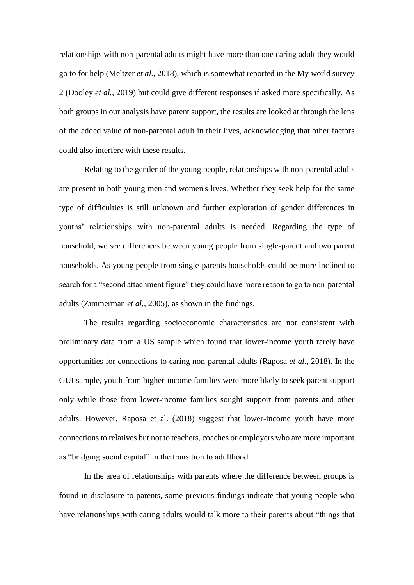relationships with non-parental adults might have more than one caring adult they would go to for help (Meltzer *et al.,* 2018), which is somewhat reported in the My world survey 2 (Dooley *et al.,* 2019) but could give different responses if asked more specifically. As both groups in our analysis have parent support, the results are looked at through the lens of the added value of non-parental adult in their lives, acknowledging that other factors could also interfere with these results.

Relating to the gender of the young people, relationships with non-parental adults are present in both young men and women's lives. Whether they seek help for the same type of difficulties is still unknown and further exploration of gender differences in youths' relationships with non-parental adults is needed. Regarding the type of household, we see differences between young people from single-parent and two parent households. As young people from single-parents households could be more inclined to search for a "second attachment figure" they could have more reason to go to non-parental adults (Zimmerman *et al.,* 2005), as shown in the findings.

The results regarding socioeconomic characteristics are not consistent with preliminary data from a US sample which found that lower-income youth rarely have opportunities for connections to caring non-parental adults (Raposa *et al.,* 2018). In the GUI sample, youth from higher-income families were more likely to seek parent support only while those from lower-income families sought support from parents and other adults. However, Raposa et al. (2018) suggest that lower-income youth have more connections to relatives but not to teachers, coaches or employers who are more important as "bridging social capital" in the transition to adulthood.

In the area of relationships with parents where the difference between groups is found in disclosure to parents, some previous findings indicate that young people who have relationships with caring adults would talk more to their parents about "things that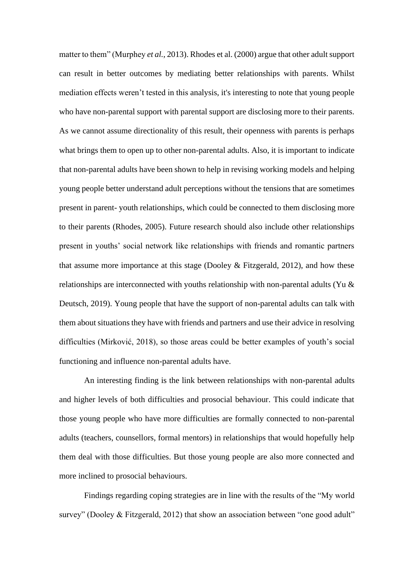matter to them" (Murphey *et al.*, 2013). Rhodes et al. (2000) argue that other adult support can result in better outcomes by mediating better relationships with parents. Whilst mediation effects weren't tested in this analysis, it's interesting to note that young people who have non-parental support with parental support are disclosing more to their parents. As we cannot assume directionality of this result, their openness with parents is perhaps what brings them to open up to other non-parental adults. Also, it is important to indicate that non-parental adults have been shown to help in revising working models and helping young people better understand adult perceptions without the tensions that are sometimes present in parent- youth relationships, which could be connected to them disclosing more to their parents (Rhodes, 2005). Future research should also include other relationships present in youths' social network like relationships with friends and romantic partners that assume more importance at this stage (Dooley & Fitzgerald, 2012), and how these relationships are interconnected with youths relationship with non-parental adults (Yu & Deutsch, 2019). Young people that have the support of non-parental adults can talk with them about situations they have with friends and partners and use their advice in resolving difficulties (Mirković, 2018), so those areas could be better examples of youth's social functioning and influence non-parental adults have.

An interesting finding is the link between relationships with non-parental adults and higher levels of both difficulties and prosocial behaviour. This could indicate that those young people who have more difficulties are formally connected to non-parental adults (teachers, counsellors, formal mentors) in relationships that would hopefully help them deal with those difficulties. But those young people are also more connected and more inclined to prosocial behaviours.

Findings regarding coping strategies are in line with the results of the "My world survey" (Dooley & Fitzgerald, 2012) that show an association between "one good adult"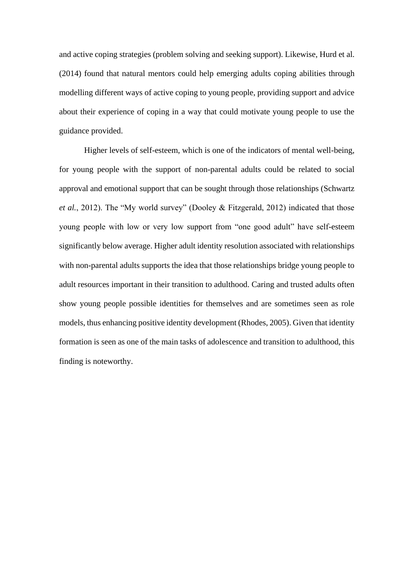and active coping strategies (problem solving and seeking support). Likewise, Hurd et al. (2014) found that natural mentors could help emerging adults coping abilities through modelling different ways of active coping to young people, providing support and advice about their experience of coping in a way that could motivate young people to use the guidance provided.

Higher levels of self-esteem, which is one of the indicators of mental well-being, for young people with the support of non-parental adults could be related to social approval and emotional support that can be sought through those relationships (Schwartz *et al.*, 2012). The "My world survey" (Dooley & Fitzgerald, 2012) indicated that those young people with low or very low support from "one good adult" have self-esteem significantly below average. Higher adult identity resolution associated with relationships with non-parental adults supports the idea that those relationships bridge young people to adult resources important in their transition to adulthood. Caring and trusted adults often show young people possible identities for themselves and are sometimes seen as role models, thus enhancing positive identity development (Rhodes, 2005). Given that identity formation is seen as one of the main tasks of adolescence and transition to adulthood, this finding is noteworthy.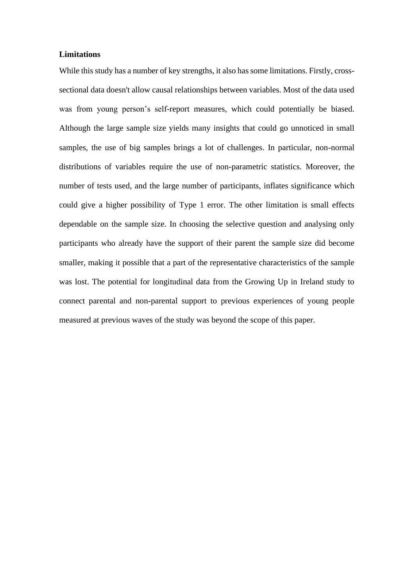# **Limitations**

While this study has a number of key strengths, it also has some limitations. Firstly, crosssectional data doesn't allow causal relationships between variables. Most of the data used was from young person's self-report measures, which could potentially be biased. Although the large sample size yields many insights that could go unnoticed in small samples, the use of big samples brings a lot of challenges. In particular, non-normal distributions of variables require the use of non-parametric statistics. Moreover, the number of tests used, and the large number of participants, inflates significance which could give a higher possibility of Type 1 error. The other limitation is small effects dependable on the sample size. In choosing the selective question and analysing only participants who already have the support of their parent the sample size did become smaller, making it possible that a part of the representative characteristics of the sample was lost. The potential for longitudinal data from the Growing Up in Ireland study to connect parental and non-parental support to previous experiences of young people measured at previous waves of the study was beyond the scope of this paper.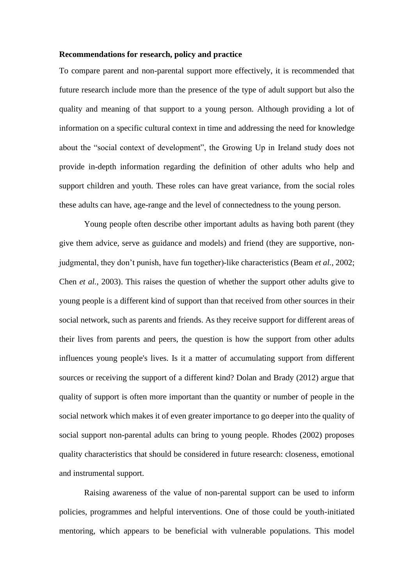#### **Recommendations for research, policy and practice**

To compare parent and non-parental support more effectively, it is recommended that future research include more than the presence of the type of adult support but also the quality and meaning of that support to a young person. Although providing a lot of information on a specific cultural context in time and addressing the need for knowledge about the "social context of development", the Growing Up in Ireland study does not provide in-depth information regarding the definition of other adults who help and support children and youth. These roles can have great variance, from the social roles these adults can have, age-range and the level of connectedness to the young person.

Young people often describe other important adults as having both parent (they give them advice, serve as guidance and models) and friend (they are supportive, nonjudgmental, they don't punish, have fun together)-like characteristics (Beam *et al.,* 2002; Chen *et al.,* 2003). This raises the question of whether the support other adults give to young people is a different kind of support than that received from other sources in their social network, such as parents and friends. As they receive support for different areas of their lives from parents and peers, the question is how the support from other adults influences young people's lives. Is it a matter of accumulating support from different sources or receiving the support of a different kind? Dolan and Brady (2012) argue that quality of support is often more important than the quantity or number of people in the social network which makes it of even greater importance to go deeper into the quality of social support non-parental adults can bring to young people. Rhodes (2002) proposes quality characteristics that should be considered in future research: closeness, emotional and instrumental support.

Raising awareness of the value of non-parental support can be used to inform policies, programmes and helpful interventions. One of those could be youth-initiated mentoring, which appears to be beneficial with vulnerable populations. This model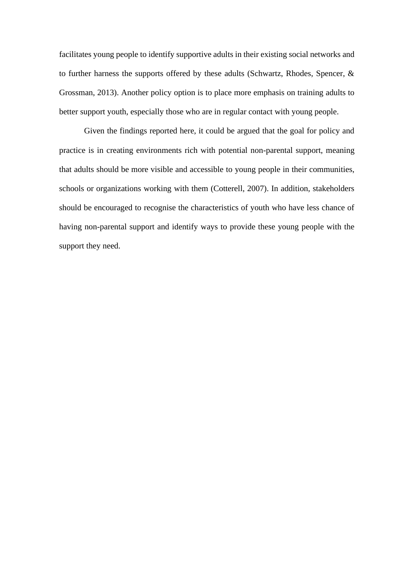facilitates young people to identify supportive adults in their existing social networks and to further harness the supports offered by these adults (Schwartz, Rhodes, Spencer, & Grossman, 2013). Another policy option is to place more emphasis on training adults to better support youth, especially those who are in regular contact with young people.

Given the findings reported here, it could be argued that the goal for policy and practice is in creating environments rich with potential non-parental support, meaning that adults should be more visible and accessible to young people in their communities, schools or organizations working with them (Cotterell, 2007). In addition, stakeholders should be encouraged to recognise the characteristics of youth who have less chance of having non-parental support and identify ways to provide these young people with the support they need.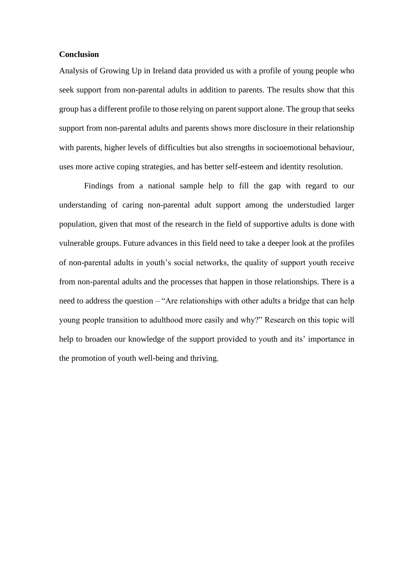# **Conclusion**

Analysis of Growing Up in Ireland data provided us with a profile of young people who seek support from non-parental adults in addition to parents. The results show that this group has a different profile to those relying on parent support alone. The group that seeks support from non-parental adults and parents shows more disclosure in their relationship with parents, higher levels of difficulties but also strengths in socioemotional behaviour, uses more active coping strategies, and has better self-esteem and identity resolution.

Findings from a national sample help to fill the gap with regard to our understanding of caring non-parental adult support among the understudied larger population, given that most of the research in the field of supportive adults is done with vulnerable groups. Future advances in this field need to take a deeper look at the profiles of non-parental adults in youth's social networks, the quality of support youth receive from non-parental adults and the processes that happen in those relationships. There is a need to address the question – "Are relationships with other adults a bridge that can help young people transition to adulthood more easily and why?" Research on this topic will help to broaden our knowledge of the support provided to youth and its' importance in the promotion of youth well-being and thriving.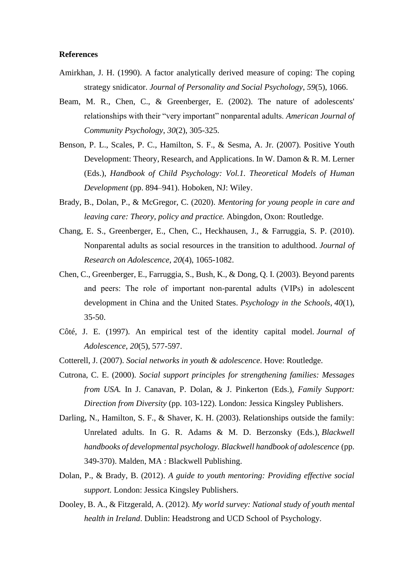## **References**

- Amirkhan, J. H. (1990). A factor analytically derived measure of coping: The coping strategy snidicator. *Journal of Personality and Social Psychology*, *59*(5), 1066.
- Beam, M. R., Chen, C., & Greenberger, E. (2002). The nature of adolescents' relationships with their "very important" nonparental adults. *American Journal of Community Psychology*, *30*(2), 305-325.
- Benson, P. L., Scales, P. C., Hamilton, S. F., & Sesma, A. Jr. (2007). Positive Youth Development: Theory, Research, and Applications. In W. Damon & R. M. Lerner (Eds.), *Handbook of Child Psychology: Vol.1. Theoretical Models of Human Development* (pp. 894–941). Hoboken, NJ: Wiley.
- Brady, B., Dolan, P., & McGregor, C. (2020). *Mentoring for young people in care and leaving care: Theory, policy and practice.* Abingdon, Oxon: Routledge.
- Chang, E. S., Greenberger, E., Chen, C., Heckhausen, J., & Farruggia, S. P. (2010). Nonparental adults as social resources in the transition to adulthood. *Journal of Research on Adolescence*, *20*(4), 1065-1082.
- Chen, C., Greenberger, E., Farruggia, S., Bush, K., & Dong, Q. I. (2003). Beyond parents and peers: The role of important non‐parental adults (VIPs) in adolescent development in China and the United States. *Psychology in the Schools*, *40*(1), 35-50.
- Côté, J. E. (1997). An empirical test of the identity capital model. *Journal of Adolescence*, *20*(5), 577-597.
- Cotterell, J. (2007). *Social networks in youth & adolescence*. Hove: Routledge.
- Cutrona, C. E. (2000). *Social support principles for strengthening families: Messages from USA.* In J. Canavan, P. Dolan, & J. Pinkerton (Eds.), *Family Support: Direction from Diversity* (pp. 103-122). London: Jessica Kingsley Publishers.
- Darling, N., Hamilton, S. F., & Shaver, K. H. (2003). Relationships outside the family: Unrelated adults. In G. R. Adams & M. D. Berzonsky (Eds.), *Blackwell handbooks of developmental psychology. Blackwell handbook of adolescence* (pp. 349-370). Malden, MA : Blackwell Publishing.
- Dolan, P., & Brady, B. (2012). *A guide to youth mentoring: Providing effective social support.* London: Jessica Kingsley Publishers.
- Dooley, B. A., & Fitzgerald, A. (2012). *My world survey: National study of youth mental health in Ireland*. Dublin: Headstrong and UCD School of Psychology.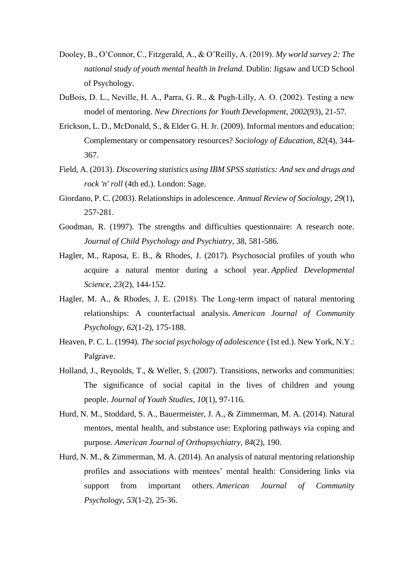- Dooley, B., O'Connor, C., Fitzgerald, A., & O'Reilly, A. (2019). *My world survey 2: The national study of youth mental health in Ireland.* Dublin: Jigsaw and UCD School of Psychology.
- DuBois, D. L., Neville, H. A., Parra, G. R., & Pugh‐Lilly, A. O. (2002). Testing a new model of mentoring. *New Directions for Youth Development*, *2002*(93), 21-57.
- Erickson, L. D., McDonald, S., & Elder G. H. Jr. (2009). Informal mentors and education: Complementary or compensatory resources? *Sociology of Education*, *82*(4), 344- 367.
- Field, A. (2013). *Discovering statistics using IBM SPSS statistics: And sex and drugs and rock 'n' roll* (4th ed.). London: Sage.
- Giordano, P. C. (2003). Relationships in adolescence. *Annual Review of Sociology*, *29*(1), 257-281.
- Goodman, R. (1997). The strengths and difficulties questionnaire: A research note. *Journal of Child Psychology and Psychiatry*, 38, 581-586.
- Hagler, M., Raposa, E. B., & Rhodes, J. (2017). Psychosocial profiles of youth who acquire a natural mentor during a school year. *Applied Developmental Science*, *23*(2), 144-152.
- Hagler, M. A., & Rhodes, J. E. (2018). The Long-term impact of natural mentoring relationships: A counterfactual analysis. *American Journal of Community Psychology*, *62*(1-2), 175-188.
- Heaven, P. C. L. (1994). *The social psychology of adolescence* (1st ed.). New York, N.Y.: Palgrave.
- Holland, J., Reynolds, T., & Weller, S. (2007). Transitions, networks and communities: The significance of social capital in the lives of children and young people. *Journal of Youth Studies*, *10*(1), 97-116.
- Hurd, N. M., Stoddard, S. A., Bauermeister, J. A., & Zimmerman, M. A. (2014). Natural mentors, mental health, and substance use: Exploring pathways via coping and purpose. *American Journal of Orthopsychiatry*, *84*(2), 190.
- Hurd, N. M., & Zimmerman, M. A. (2014). An analysis of natural mentoring relationship profiles and associations with mentees' mental health: Considering links via support from important others. *American Journal of Community Psychology*, *53*(1-2), 25-36.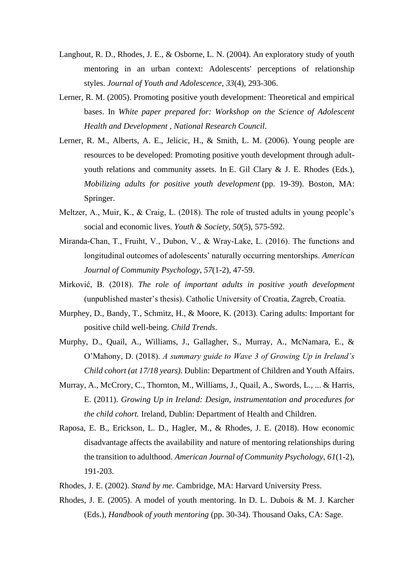- Langhout, R. D., Rhodes, J. E., & Osborne, L. N. (2004). An exploratory study of youth mentoring in an urban context: Adolescents' perceptions of relationship styles. *Journal of Youth and Adolescence*, *33*(4), 293-306.
- Lerner, R. M. (2005). Promoting positive youth development: Theoretical and empirical bases. In *White paper prepared for: Workshop on the Science of Adolescent Health and Development , National Research Council*.
- Lerner, R. M., Alberts, A. E., Jelicic, H., & Smith, L. M. (2006). Young people are resources to be developed: Promoting positive youth development through adultyouth relations and community assets. In E. Gil Clary & J. E. Rhodes (Eds.), *Mobilizing adults for positive youth development* (pp. 19-39). Boston, MA: Springer.
- Meltzer, A., Muir, K., & Craig, L.  $(2018)$ . The role of trusted adults in young people's social and economic lives. *Youth & Society*, *50*(5), 575-592.
- Miranda‐Chan, T., Fruiht, V., Dubon, V., & Wray‐Lake, L. (2016). The functions and longitudinal outcomes of adolescents' naturally occurring mentorships. *American Journal of Community Psychology*, *57*(1-2), 47-59.
- Mirković, B. (2018). *The role of important adults in positive youth development* (unpublished master's thesis). Catholic University of Croatia, Zagreb, Croatia.
- Murphey, D., Bandy, T., Schmitz, H., & Moore, K. (2013). Caring adults: Important for positive child well-being. *Child Trends*.
- Murphy, D., Quail, A., Williams, J., Gallagher, S., Murray, A., McNamara, E., & O'Mahony, D. (2018). *A summary guide to Wave 3 of Growing Up in Ireland's Child cohort (at 17/18 years).* Dublin: Department of Children and Youth Affairs.
- Murray, A., McCrory, C., Thornton, M., Williams, J., Quail, A., Swords, L., ... & Harris, E. (2011). *Growing Up in Ireland: Design, instrumentation and procedures for the child cohort.* Ireland, Dublin: Department of Health and Children.
- Raposa, E. B., Erickson, L. D., Hagler, M., & Rhodes, J. E. (2018). How economic disadvantage affects the availability and nature of mentoring relationships during the transition to adulthood. *American Journal of Community Psychology*, *61*(1-2), 191-203.
- Rhodes, J. E. (2002). *Stand by me.* Cambridge, MA: Harvard University Press.
- Rhodes, J. E. (2005). A model of youth mentoring. In D. L. Dubois & M. J. Karcher (Eds.), *Handbook of youth mentoring* (pp. 30-34). Thousand Oaks, CA: Sage.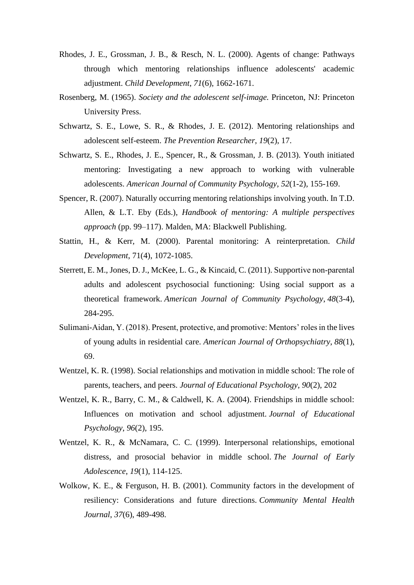- Rhodes, J. E., Grossman, J. B., & Resch, N. L. (2000). Agents of change: Pathways through which mentoring relationships influence adolescents' academic adjustment. *Child Development*, *71*(6), 1662-1671.
- Rosenberg, M. (1965). *Society and the adolescent self-image.* Princeton, NJ: Princeton University Press.
- Schwartz, S. E., Lowe, S. R., & Rhodes, J. E. (2012). Mentoring relationships and adolescent self-esteem. *The Prevention Researcher*, *19*(2), 17.
- Schwartz, S. E., Rhodes, J. E., Spencer, R., & Grossman, J. B. (2013). Youth initiated mentoring: Investigating a new approach to working with vulnerable adolescents. *American Journal of Community Psychology*, *52*(1-2), 155-169.
- Spencer, R. (2007). Naturally occurring mentoring relationships involving youth. In T.D. Allen, & L.T. Eby (Eds.), *Handbook of mentoring: A multiple perspectives approach* (pp. 99–117). Malden, MA: Blackwell Publishing.
- Stattin, H., & Kerr, M. (2000). Parental monitoring: A reinterpretation. *Child Development*, 71(4), 1072-1085.
- Sterrett, E. M., Jones, D. J., McKee, L. G., & Kincaid, C. (2011). Supportive non-parental adults and adolescent psychosocial functioning: Using social support as a theoretical framework. *American Journal of Community Psychology*, *48*(3-4), 284-295.
- Sulimani-Aidan, Y. (2018). Present, protective, and promotive: Mentors' roles in the lives of young adults in residential care. *American Journal of Orthopsychiatry*, *88*(1), 69.
- Wentzel, K. R. (1998). Social relationships and motivation in middle school: The role of parents, teachers, and peers. *Journal of Educational Psychology*, *90*(2), 202
- Wentzel, K. R., Barry, C. M., & Caldwell, K. A. (2004). Friendships in middle school: Influences on motivation and school adjustment. *Journal of Educational Psychology*, *96*(2), 195.
- Wentzel, K. R., & McNamara, C. C. (1999). Interpersonal relationships, emotional distress, and prosocial behavior in middle school. *The Journal of Early Adolescence*, *19*(1), 114-125.
- Wolkow, K. E., & Ferguson, H. B. (2001). Community factors in the development of resiliency: Considerations and future directions. *Community Mental Health Journal*, *37*(6), 489-498.